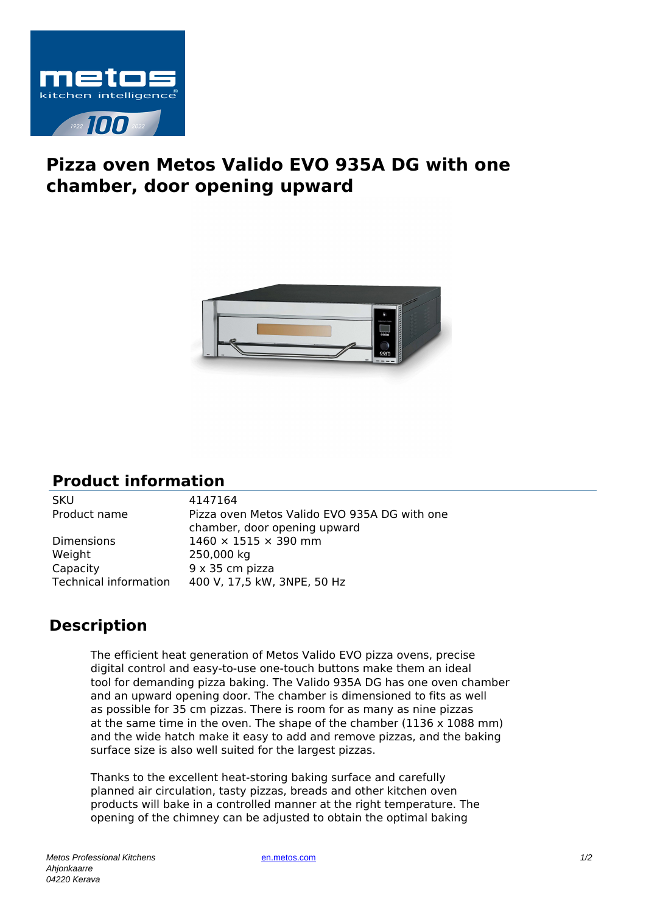

## **Pizza oven Metos Valido EVO 935A DG with one chamber, door opening upward**



## **Product information**

SKU 4147164 Product name Pizza oven Metos Valido EVO 935A DG with one chamber, door opening upward Dimensions  $1460 \times 1515 \times 390$  mm Weight 250,000 kg Capacity 9 x 35 cm pizza Technical information 400 V, 17,5 kW, 3NPE, 50 Hz

## **Description**

The efficient heat generation of Metos Valido EVO pizza ovens, precise digital control and easy-to-use one-touch buttons make them an ideal tool for demanding pizza baking. The Valido 935A DG has one oven chamber and an upward opening door. The chamber is dimensioned to fits as well as possible for 35 cm pizzas. There is room for as many as nine pizzas at the same time in the oven. The shape of the chamber (1136 x 1088 mm) and the wide hatch make it easy to add and remove pizzas, and the baking surface size is also well suited for the largest pizzas.

Thanks to the excellent heat-storing baking surface and carefully planned air circulation, tasty pizzas, breads and other kitchen oven products will bake in a controlled manner at the right temperature. The opening of the chimney can be adjusted to obtain the optimal baking